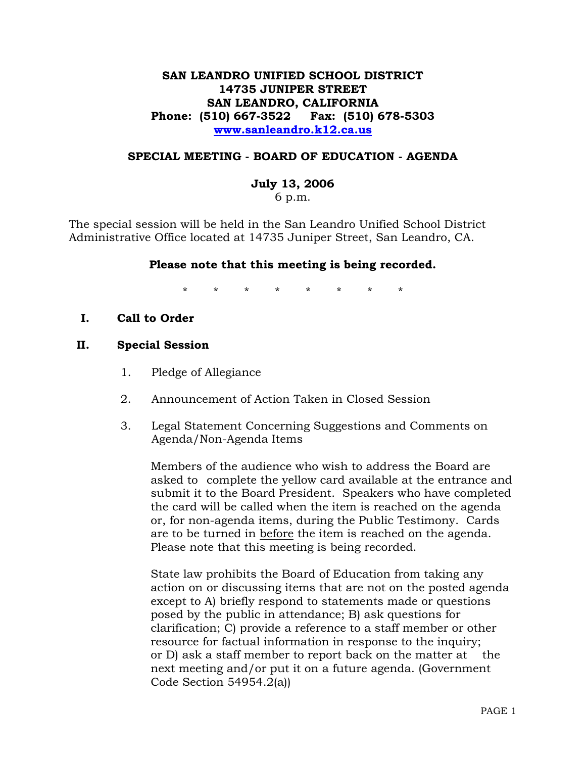# **SAN LEANDRO UNIFIED SCHOOL DISTRICT 14735 JUNIPER STREET SAN LEANDRO, CALIFORNIA Phone: (510) 667-3522 Fax: (510) 678-5303 www.sanleandro.k12.ca.us**

## **SPECIAL MEETING - BOARD OF EDUCATION - AGENDA**

#### **July 13, 2006**

6 p.m.

The special session will be held in the San Leandro Unified School District Administrative Office located at 14735 Juniper Street, San Leandro, CA.

## **Please note that this meeting is being recorded.**

\* \* \* \* \* \* \* \*

**I. Call to Order** 

#### **II. Special Session**

- 1. Pledge of Allegiance
- 2. Announcement of Action Taken in Closed Session
- 3. Legal Statement Concerning Suggestions and Comments on Agenda/Non-Agenda Items

 Members of the audience who wish to address the Board are asked to complete the yellow card available at the entrance and submit it to the Board President. Speakers who have completed the card will be called when the item is reached on the agenda or, for non-agenda items, during the Public Testimony. Cards are to be turned in before the item is reached on the agenda. Please note that this meeting is being recorded.

 State law prohibits the Board of Education from taking any action on or discussing items that are not on the posted agenda except to A) briefly respond to statements made or questions posed by the public in attendance; B) ask questions for clarification; C) provide a reference to a staff member or other resource for factual information in response to the inquiry; or D) ask a staff member to report back on the matter at the next meeting and/or put it on a future agenda. (Government Code Section 54954.2(a))